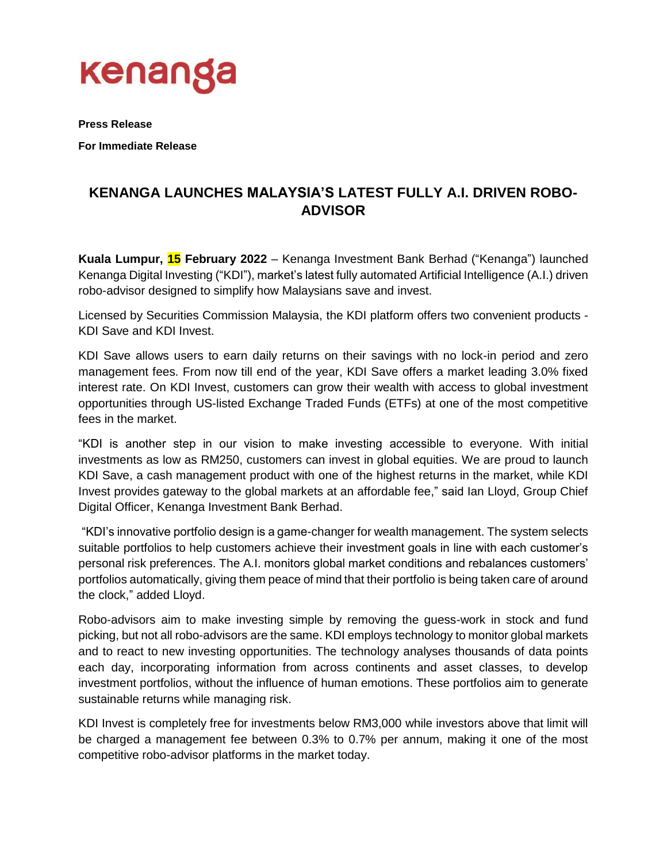

**Press Release**

**For Immediate Release**

## **KENANGA LAUNCHES MALAYSIA'S LATEST FULLY A.I. DRIVEN ROBO-ADVISOR**

**Kuala Lumpur, 15 February 2022** – Kenanga Investment Bank Berhad ("Kenanga") launched Kenanga Digital Investing ("KDI"), market's latest fully automated Artificial Intelligence (A.I.) driven robo-advisor designed to simplify how Malaysians save and invest.

Licensed by Securities Commission Malaysia, the KDI platform offers two convenient products - KDI Save and KDI Invest.

KDI Save allows users to earn daily returns on their savings with no lock-in period and zero management fees. From now till end of the year, KDI Save offers a market leading 3.0% fixed interest rate. On KDI Invest, customers can grow their wealth with access to global investment opportunities through US-listed Exchange Traded Funds (ETFs) at one of the most competitive fees in the market.

"KDI is another step in our vision to make investing accessible to everyone. With initial investments as low as RM250, customers can invest in global equities. We are proud to launch KDI Save, a cash management product with one of the highest returns in the market, while KDI Invest provides gateway to the global markets at an affordable fee," said Ian Lloyd, Group Chief Digital Officer, Kenanga Investment Bank Berhad.

"KDI's innovative portfolio design is a game-changer for wealth management. The system selects suitable portfolios to help customers achieve their investment goals in line with each customer's personal risk preferences. The A.I. monitors global market conditions and rebalances customers' portfolios automatically, giving them peace of mind that their portfolio is being taken care of around the clock," added Lloyd.

Robo-advisors aim to make investing simple by removing the guess-work in stock and fund picking, but not all robo-advisors are the same. KDI employs technology to monitor global markets and to react to new investing opportunities. The technology analyses thousands of data points each day, incorporating information from across continents and asset classes, to develop investment portfolios, without the influence of human emotions. These portfolios aim to generate sustainable returns while managing risk.

KDI Invest is completely free for investments below RM3,000 while investors above that limit will be charged a management fee between 0.3% to 0.7% per annum, making it one of the most competitive robo-advisor platforms in the market today.